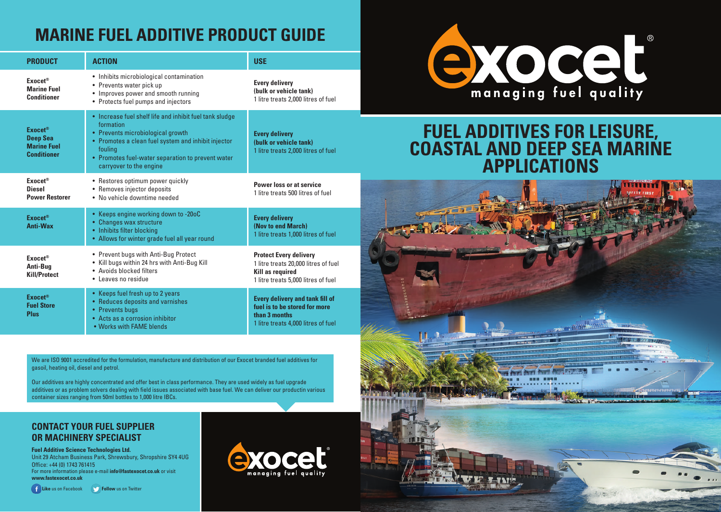## **MARINE FUEL ADDITIVE PRODUCT GUIDE**

| <b>PRODUCT</b>                                                                | <b>ACTION</b>                                                                                                                                                                                                                                               | <b>USE</b>                                                                                                                              |  |  |
|-------------------------------------------------------------------------------|-------------------------------------------------------------------------------------------------------------------------------------------------------------------------------------------------------------------------------------------------------------|-----------------------------------------------------------------------------------------------------------------------------------------|--|--|
| Exocet <sup>®</sup><br><b>Marine Fuel</b><br><b>Conditioner</b>               | • Inhibits microbiological contamination<br>• Prevents water pick up<br>• Improves power and smooth running<br>• Protects fuel pumps and injectors                                                                                                          | <b>Every delivery</b><br>(bulk or vehicle tank)<br>1 litre treats 2,000 litres of fuel                                                  |  |  |
| <b>Exocet®</b><br><b>Deep Sea</b><br><b>Marine Fuel</b><br><b>Conditioner</b> | • Increase fuel shelf life and inhibit fuel tank sludge<br>formation<br>• Prevents microbiological growth<br>• Promotes a clean fuel system and inhibit injector<br>fouling<br>• Promotes fuel-water separation to prevent water<br>carryover to the engine | <b>Every delivery</b><br>(bulk or vehicle tank)<br>1 litre treats 2,000 litres of fuel                                                  |  |  |
| Exocet <sup>®</sup><br><b>Diesel</b><br><b>Power Restorer</b>                 | • Restores optimum power quickly<br>• Removes injector deposits<br>• No vehicle downtime needed                                                                                                                                                             | Power loss or at service<br>1 litre treats 500 litres of fuel                                                                           |  |  |
| <b>Exocet®</b><br><b>Anti-Wax</b>                                             | • Keeps engine working down to -20oC<br>• Changes wax structure<br>• Inhibits filter blocking<br>• Allows for winter grade fuel all year round                                                                                                              | <b>Every delivery</b><br>(Nov to end March)<br>1 litre treats 1,000 litres of fuel                                                      |  |  |
| Exocet <sup>®</sup><br>Anti-Bug<br><b>Kill/Protect</b>                        | • Prevent bugs with Anti-Bug Protect<br>• Kill bugs within 24 hrs with Anti-Bug Kill<br>• Avoids blocked filters<br>• Leaves no residue                                                                                                                     | <b>Protect Every delivery</b><br>1 litre treats 20,000 litres of fuel<br><b>Kill as required</b><br>1 litre treats 5,000 litres of fuel |  |  |
| <b>Exocet®</b><br><b>Fuel Store</b><br><b>Plus</b>                            | • Keeps fuel fresh up to 2 years<br>• Reduces deposits and varnishes<br>• Prevents bugs<br>• Acts as a corrosion inhibitor<br>. Works with FAME blends                                                                                                      | <b>Every delivery and tank fill of</b><br>fuel is to be stored for more<br>than 3 months<br>1 litre treats 4,000 litres of fuel         |  |  |

We are ISO 9001 accredited for the formulation, manufacture and distribution of our Exocet branded fuel additives for gasoil, heating oil, diesel and petrol.

Our additives are highly concentrated and offer best in class performance. They are used widely as fuel upgrade additives or as problem solvers dealing with field issues associated with base fuel. We can deliver our productin various container sizes ranging from 50ml bottles to 1,000 litre IBCs.

#### **CONTACT YOUR FUEL SUPPLIER OR MACHINERY SPECIALIST**

**Fuel Additive Science Technologies Ltd.**

Unit 29 Atcham Business Park, Shrewsbury, Shropshire SY4 4UG Office: +44 (0) 1743 761415 For more information please e-mail **info@fastexocet.co.uk** or visit **www.fastexocet.co.uk**

**F** Like us on Facebook **Follow** us on Twitter





## **FUEL ADDITIVES FOR LEISURE, COASTAL AND DEEP SEA MARINE APPLICATIONS**